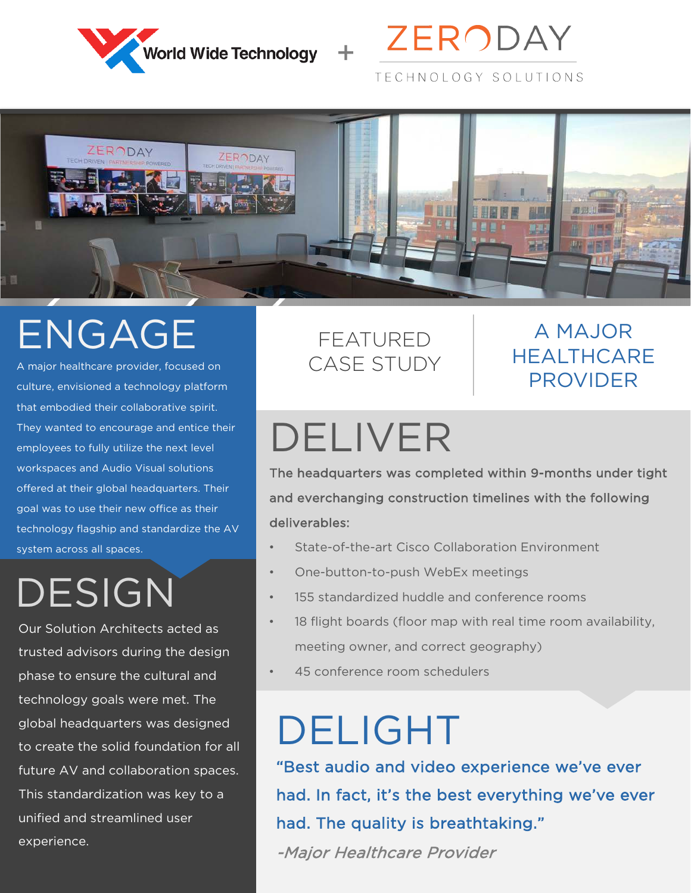





## ENGAGE

A major healthcare provider, focused on culture, envisioned a technology platform that embodied their collaborative spirit. They wanted to encourage and entice their employees to fully utilize the next level workspaces and Audio Visual solutions offered at their global headquarters. Their goal was to use their new office as their technology flagship and standardize the AV system across all spaces.

## DESIGN

Our Solution Architects acted as trusted advisors during the design phase to ensure the cultural and technology goals were met. The global headquarters was designed to create the solid foundation for all future AV and collaboration spaces. This standardization was key to a unified and streamlined user experience.

### FEATURED CASE STUDY

#### A MAJOR **HEALTHCARE** PROVIDER

# DELIVER

The headquarters was completed within 9-months under tight and everchanging construction timelines with the following deliverables:

- State-of-the-art Cisco Collaboration Environment
- One-button-to-push WebEx meetings
- 155 standardized huddle and conference rooms
- 18 flight boards (floor map with real time room availability, meeting owner, and correct geography)
- 45 conference room schedulers

## DELIGHT

"Best audio and video experience we've ever had. In fact, it's the best everything we've ever had. The quality is breathtaking."

-Major Healthcare Provider